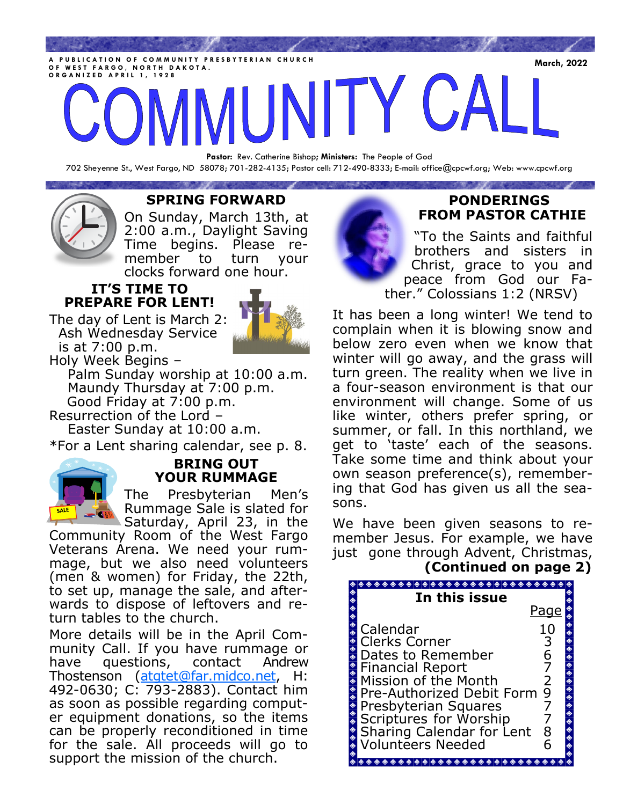PUBLICATION OF COMMUNITY PRESBYTERIAN CHURCH<br>F WEST FARCO, NORTH DAKOTA **O F W E S T F A R G O , N O R T H D A K O T A . O R G A N I Z E D A P R I L 1 , 1 9 2 8**

**Pastor:** Rev. Catherine Bishop**; Ministers:** The People of God 702 Sheyenne St., West Fargo, ND 58078; 701-282-4135; Pastor cell: 712-490-8333; E-mail: office@cpcwf.org; Web: www.cpcwf.org

## **SPRING FORWARD**

**CONTRACTOR** 

On Sunday, March 13th, at 2:00 a.m., Daylight Saving Time begins. Please remember to turn your clocks forward one hour.

### **IT'S TIME TO PREPARE FOR LENT!**

The day of Lent is March 2: Ash Wednesday Service is at 7:00 p.m. Holy Week Begins –



 Palm Sunday worship at 10:00 a.m. Maundy Thursday at 7:00 p.m. Good Friday at 7:00 p.m.

Resurrection of the Lord –

Easter Sunday at 10:00 a.m.

\*For a Lent sharing calendar, see p. 8.



## **BRING OUT YOUR RUMMAGE**

The Presbyterian Men's Rummage Sale is slated for Saturday, April 23, in the

Community Room of the West Fargo Veterans Arena. We need your rummage, but we also need volunteers (men & women) for Friday, the 22th, to set up, manage the sale, and afterwards to dispose of leftovers and return tables to the church.

More details will be in the April Community Call. If you have rummage or have questions, contact Andrew Thostenson [\(atgtet@far.midco.net,](mailto:atgtet@far.midco.net) H: 492-0630; C: 793-2883). Contact him as soon as possible regarding computer equipment donations, so the items can be properly reconditioned in time for the sale. All proceeds will go to support the mission of the church.



# **PONDERINGS FROM PASTOR CATHIE**

"To the Saints and faithful brothers and sisters in Christ, grace to you and peace from God our Father." Colossians 1:2 (NRSV)

It has been a long winter! We tend to complain when it is blowing snow and below zero even when we know that winter will go away, and the grass will turn green. The reality when we live in a four-season environment is that our environment will change. Some of us like winter, others prefer spring, or summer, or fall. In this northland, we get to 'taste' each of the seasons. Take some time and think about your own season preference(s), remembering that God has given us all the seasons.

We have been given seasons to remember Jesus. For example, we have just gone through Advent, Christmas,

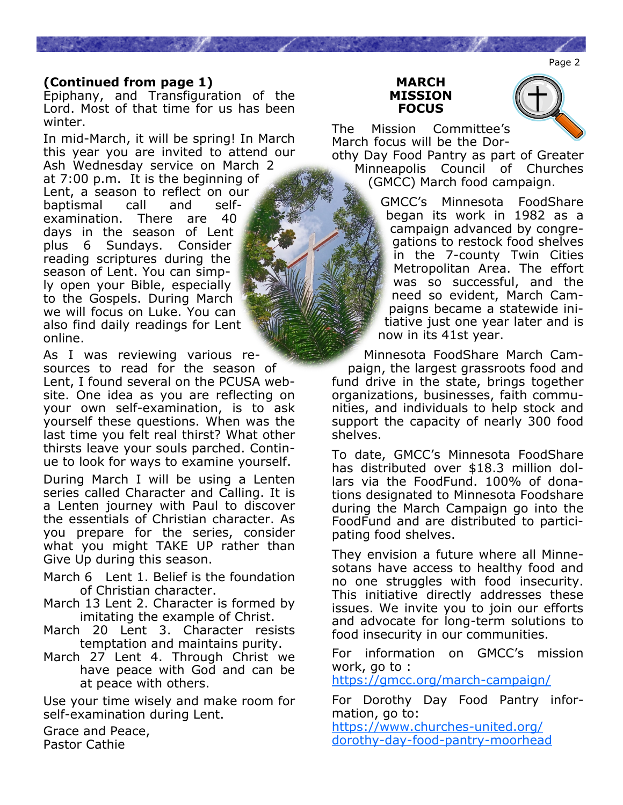Page 2

## **(Continued from page 1)**

Epiphany, and Transfiguration of the Lord. Most of that time for us has been winter.

In mid-March, it will be spring! In March this year you are invited to attend our Ash Wednesday service on March 2 at 7:00 p.m. It is the beginning of Lent, a season to reflect on our baptismal call and selfexamination. There are 40 days in the season of Lent plus 6 Sundays. Consider reading scriptures during the season of Lent. You can simply open your Bible, especially to the Gospels. During March we will focus on Luke. You can also find daily readings for Lent online.

As I was reviewing various resources to read for the season of Lent, I found several on the PCUSA website. One idea as you are reflecting on your own self-examination, is to ask yourself these questions. When was the last time you felt real thirst? What other thirsts leave your souls parched. Continue to look for ways to examine yourself.

During March I will be using a Lenten series called Character and Calling. It is a Lenten journey with Paul to discover the essentials of Christian character. As you prepare for the series, consider what you might TAKE UP rather than Give Up during this season.

- March 6 Lent 1. Belief is the foundation of Christian character.
- March 13 Lent 2. Character is formed by imitating the example of Christ.
- March 20 Lent 3. Character resists temptation and maintains purity.
- March 27 Lent 4. Through Christ we have peace with God and can be at peace with others.

Use your time wisely and make room for self-examination during Lent.

Grace and Peace, Pastor Cathie





The Mission Committee's March focus will be the Dor-

othy Day Food Pantry as part of Greater Minneapolis Council of Churches (GMCC) March food campaign.

> GMCC's Minnesota FoodShare began its work in 1982 as a campaign advanced by congregations to restock food shelves in the 7-county Twin Cities Metropolitan Area. The effort was so successful, and the need so evident, March Campaigns became a statewide initiative just one year later and is now in its 41st year.

Minnesota FoodShare March Campaign, the largest grassroots food and fund drive in the state, brings together organizations, businesses, faith communities, and individuals to help stock and support the capacity of nearly 300 food shelves.

To date, GMCC's Minnesota FoodShare has distributed over \$18.3 million dollars via the FoodFund. 100% of donations designated to Minnesota Foodshare during the March Campaign go into the FoodFund and are distributed to participating food shelves.

They envision a future where all Minnesotans have access to healthy food and no one struggles with food insecurity. This initiative directly addresses these issues. We invite you to join our efforts and advocate for long-term solutions to food insecurity in our communities.

For information on GMCC's mission work, go to :

[https://gmcc.org/march](https://gmcc.org/march-campaign/)-campaign/

For Dorothy Day Food Pantry information, go to:

[https://www.churches](https://www.churches-united.org/dorothy-day-food-pantry-moorhead)-united.org/ dorothy-day-food-pantry-[moorhead](https://www.churches-united.org/dorothy-day-food-pantry-moorhead)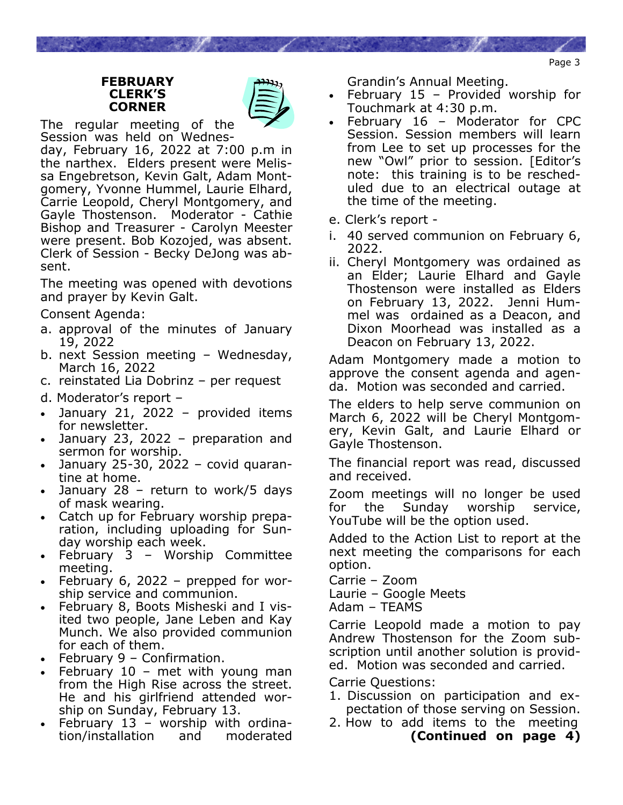#### **FEBRUARY CLERK'S CORNER**



The regular meeting of the Session was held on Wednes-

day, February 16, 2022 at 7:00 p.m in the narthex. Elders present were Melissa Engebretson, Kevin Galt, Adam Montgomery, Yvonne Hummel, Laurie Elhard, Carrie Leopold, Cheryl Montgomery, and Gayle Thostenson. Moderator - Cathie Bishop and Treasurer - Carolyn Meester were present. Bob Kozojed, was absent. Clerk of Session - Becky DeJong was absent.

The meeting was opened with devotions and prayer by Kevin Galt.

Consent Agenda:

- a. approval of the minutes of January 19, 2022
- b. next Session meeting Wednesday, March 16, 2022
- c. reinstated Lia Dobrinz per request
- d. Moderator's report –
- January 21, 2022 provided items for newsletter.
- January 23, 2022 preparation and sermon for worship.
- January 25-30, 2022 covid quarantine at home.
- January 28 return to work/5 days of mask wearing.
- Catch up for February worship preparation, including uploading for Sunday worship each week.
- February 3 Worship Committee meeting.
- February 6, 2022 prepped for worship service and communion.
- February 8, Boots Misheski and I visited two people, Jane Leben and Kay Munch. We also provided communion for each of them.
- February 9 Confirmation.
- February  $10$  met with young man from the High Rise across the street. He and his girlfriend attended worship on Sunday, February 13.
- February  $13$  worship with ordination/installation and moderated

Grandin's Annual Meeting.

- February  $15$  Provided worship for Touchmark at 4:30 p.m.
- February 16 Moderator for CPC Session. Session members will learn from Lee to set up processes for the new "Owl" prior to session. [Editor's note: this training is to be rescheduled due to an electrical outage at the time of the meeting.
- e. Clerk's report -
- i. 40 served communion on February 6, 2022.
- ii. Cheryl Montgomery was ordained as an Elder; Laurie Elhard and Gayle Thostenson were installed as Elders on February 13, 2022. Jenni Hummel was ordained as a Deacon, and Dixon Moorhead was installed as a Deacon on February 13, 2022.

Adam Montgomery made a motion to approve the consent agenda and agenda. Motion was seconded and carried.

The elders to help serve communion on March 6, 2022 will be Cheryl Montgomery, Kevin Galt, and Laurie Elhard or Gayle Thostenson.

The financial report was read, discussed and received.

Zoom meetings will no longer be used for the Sunday worship service, YouTube will be the option used.

Added to the Action List to report at the next meeting the comparisons for each option.

- Carrie Zoom
- Laurie Google Meets

Adam – TEAMS

Carrie Leopold made a motion to pay Andrew Thostenson for the Zoom subscription until another solution is provided. Motion was seconded and carried.

Carrie Questions:

- 1. Discussion on participation and ex pectation of those serving on Session.
- 2. How to add items to the meeting **(Continued on page 4)**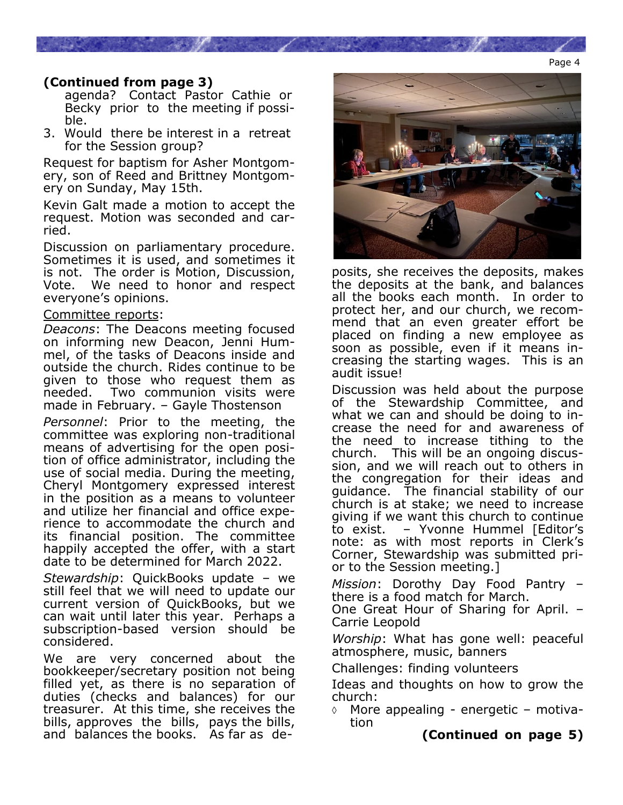### Page 4

# **(Continued from page 3)**

 agenda? Contact Pastor Cathie or Becky prior to the meeting if possi ble.

3. Would there be interest in a retreat for the Session group?

Request for baptism for Asher Montgomery, son of Reed and Brittney Montgomery on Sunday, May 15th.

Kevin Galt made a motion to accept the request. Motion was seconded and carried.

Discussion on parliamentary procedure. Sometimes it is used, and sometimes it is not. The order is Motion, Discussion, Vote. We need to honor and respect everyone's opinions.

#### Committee reports:

*Deacons*: The Deacons meeting focused on informing new Deacon, Jenni Hummel, of the tasks of Deacons inside and outside the church. Rides continue to be given to those who request them as needed. Two communion visits were made in February. – Gayle Thostenson

*Personnel*: Prior to the meeting, the committee was exploring non-traditional means of advertising for the open position of office administrator, including the use of social media. During the meeting, Cheryl Montgomery expressed interest in the position as a means to volunteer and utilize her financial and office experience to accommodate the church and its financial position. The committee happily accepted the offer, with a start date to be determined for March 2022.

*Stewardship*: QuickBooks update – we still feel that we will need to update our current version of QuickBooks, but we can wait until later this year. Perhaps a subscription-based version should be considered.

We are very concerned about the bookkeeper/secretary position not being filled yet, as there is no separation of duties (checks and balances) for our treasurer. At this time, she receives the bills, approves the bills, pays the bills, and balances the books. As far as de-



posits, she receives the deposits, makes the deposits at the bank, and balances all the books each month. In order to protect her, and our church, we recommend that an even greater effort be placed on finding a new employee as soon as possible, even if it means increasing the starting wages. This is an audit issue!

Discussion was held about the purpose of the Stewardship Committee, and what we can and should be doing to increase the need for and awareness of the need to increase tithing to the church. This will be an ongoing discussion, and we will reach out to others in the congregation for their ideas and guidance. The financial stability of our church is at stake; we need to increase giving if we want this church to continue to exist. – Yvonne Hummel [Editor's note: as with most reports in Clerk's Corner, Stewardship was submitted prior to the Session meeting.]

*Mission*: Dorothy Day Food Pantry – there is a food match for March.

One Great Hour of Sharing for April. – Carrie Leopold

*Worship*: What has gone well: peaceful atmosphere, music, banners

Challenges: finding volunteers

Ideas and thoughts on how to grow the church:

 $\Diamond$  More appealing - energetic – motivation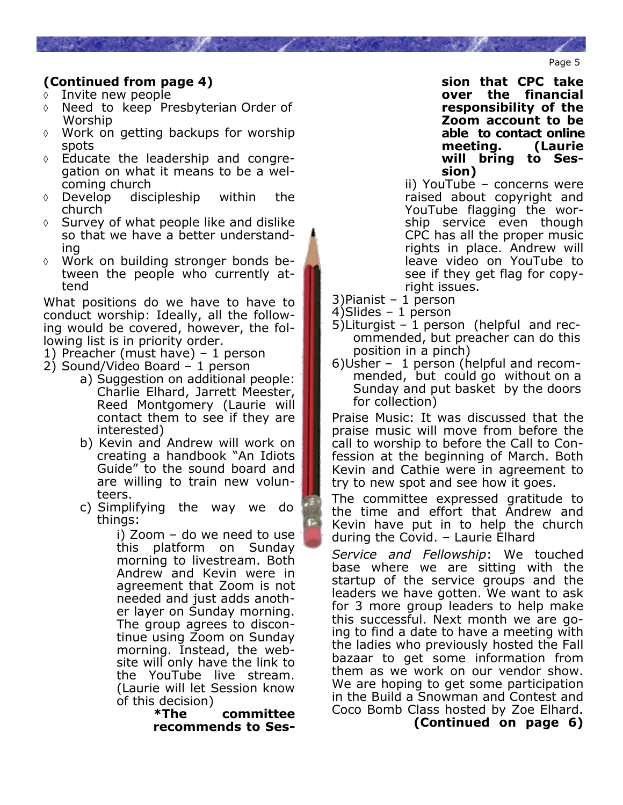# **(Continued from page 4)**

- $\lozenge$  Invite new people
- $\Diamond$  Need to keep Presbyterian Order of Worship
- Work on getting backups for worship spots
- Educate the leadership and congregation on what it means to be a welcoming church
- Develop discipleship within the church
- $\Diamond$  Survey of what people like and dislike so that we have a better understanding
- Work on building stronger bonds between the people who currently attend

What positions do we have to have to conduct worship: Ideally, all the following would be covered, however, the following list is in priority order.

- 1) Preacher (must have) 1 person
- 2) Sound/Video Board 1 person
	- a) Suggestion on additional people: Charlie Elhard, Jarrett Meester, Reed Montgomery (Laurie will contact them to see if they are interested)
	- b) Kevin and Andrew will work on creating a handbook "An Idiots Guide" to the sound board and are willing to train new volun teers.
	- c) Simplifying the way we do things:

i) Zoom – do we need to use this platform on Sunday morning to livestream. Both Andrew and Kevin were in agreement that Zoom is not needed and just adds another layer on Sunday morning. The group agrees to discontinue using Zoom on Sunday morning. Instead, the website will only have the link to the YouTube live stream. (Laurie will let Session know of this decision)<br>The

**\*The committee recommends to Ses-** **sion that CPC take over the financial responsibility of the Zoom account to be able to contact online meeting. (Laurie will bring to Session)**

ii) YouTube – concerns were raised about copyright and YouTube flagging the worship service even though CPC has all the proper music rights in place. Andrew will leave video on YouTube to see if they get flag for copyright issues.

3)Pianist – 1 person

4)Slides – 1 person

- 5)Liturgist 1 person (helpful and rec ommended, but preacher can do this position in a pinch)
- 6)Usher 1 person (helpful and recom mended, but could go without on a Sunday and put basket by the doors for collection)

Praise Music: It was discussed that the praise music will move from before the call to worship to before the Call to Confession at the beginning of March. Both Kevin and Cathie were in agreement to try to new spot and see how it goes.

The committee expressed gratitude to the time and effort that Andrew and Kevin have put in to help the church during the Covid. – Laurie Elhard

*Service and Fellowship*: We touched base where we are sitting with the startup of the service groups and the leaders we have gotten. We want to ask for 3 more group leaders to help make this successful. Next month we are going to find a date to have a meeting with the ladies who previously hosted the Fall bazaar to get some information from them as we work on our vendor show. We are hoping to get some participation in the Build a Snowman and Contest and Coco Bomb Class hosted by Zoe Elhard.

**(Continued on page 6)**

Page 5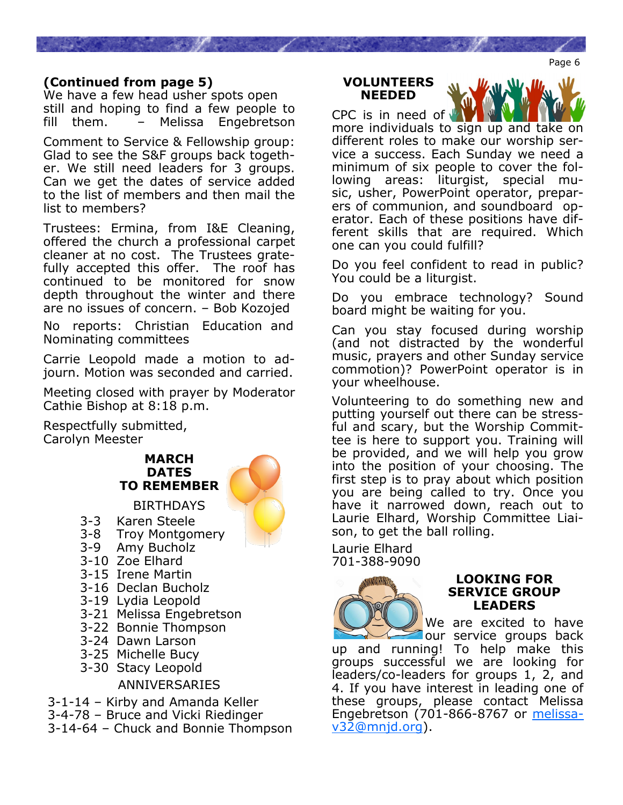### **(Continued from page 5)**

We have a few head usher spots open still and hoping to find a few people to fill them. – Melissa Engebretson

Comment to Service & Fellowship group: Glad to see the S&F groups back together. We still need leaders for 3 groups. Can we get the dates of service added to the list of members and then mail the list to members?

Trustees: Ermina, from I&E Cleaning, offered the church a professional carpet cleaner at no cost. The Trustees gratefully accepted this offer. The roof has continued to be monitored for snow depth throughout the winter and there are no issues of concern. – Bob Kozojed 

No reports: Christian Education and Nominating committees

Carrie Leopold made a motion to adjourn. Motion was seconded and carried.

Meeting closed with prayer by Moderator Cathie Bishop at 8:18 p.m.

Respectfully submitted, Carolyn Meester

## **MARCH DATES TO REMEMBER**

#### **BIRTHDAYS**

- 3-3 Karen Steele
- 3-8 Troy Montgomery
- 3-9 Amy Bucholz
- 3-10 Zoe Elhard
- 3-15 Irene Martin
- 3-16 Declan Bucholz
- 3-19 Lydia Leopold
- 3-21 Melissa Engebretson
- 3-22 Bonnie Thompson
- 3-24 Dawn Larson
- 3-25 Michelle Bucy
- 3-30 Stacy Leopold

ANNIVERSARIES

3-1-14 – Kirby and Amanda Keller 3-4-78 – Bruce and Vicki Riedinger 3-14-64 – Chuck and Bonnie Thompson

#### **VOLUNTEERS NEEDED**

CPC is in need of more individuals to sign up and take on different roles to make our worship service a success. Each Sunday we need a minimum of six people to cover the following areas: liturgist, special music, usher, PowerPoint operator, preparers of communion, and soundboard operator. Each of these positions have different skills that are required. Which one can you could fulfill?

Do you feel confident to read in public? You could be a liturgist.

Do you embrace technology? Sound board might be waiting for you.

Can you stay focused during worship (and not distracted by the wonderful music, prayers and other Sunday service commotion)? PowerPoint operator is in your wheelhouse.

Volunteering to do something new and putting yourself out there can be stressful and scary, but the Worship Committee is here to support you. Training will be provided, and we will help you grow into the position of your choosing. The first step is to pray about which position you are being called to try. Once you have it narrowed down, reach out to Laurie Elhard, Worship Committee Liaison, to get the ball rolling.

Laurie Elhard 701-388-9090



#### **LOOKING FOR SERVICE GROUP LEADERS**

We are excited to have our service groups back

up and running! To help make this groups successful we are looking for leaders/co-leaders for groups 1, 2, and 4. If you have interest in leading one of these groups, please contact Melissa Engebretson (701-866-8767 or [melissa](mailto:melissav32@mnjd.org)[v32@mnjd.org\)](mailto:melissav32@mnjd.org).

Page 6

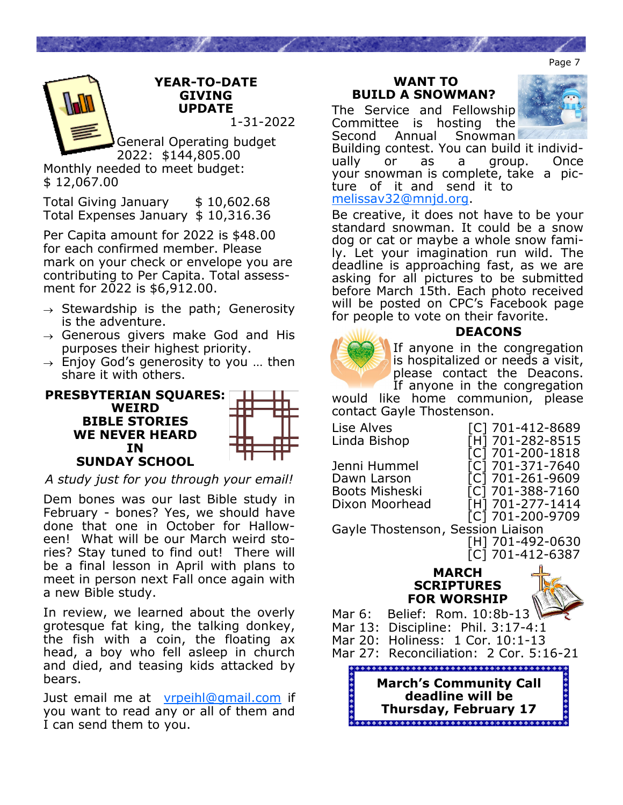Page 7



General Operating budget 2022: \$144,805.00 Monthly needed to meet budget: \$ 12,067.00

Total Giving January \$10,602.68 Total Expenses January \$ 10,316.36

Per Capita amount for 2022 is \$48.00 for each confirmed member. Please mark on your check or envelope you are contributing to Per Capita. Total assessment for 2022 is \$6,912.00.

- $\rightarrow$  Stewardship is the path; Generosity is the adventure.
- $\rightarrow$  Generous givers make God and His purposes their highest priority.
- $\rightarrow$  Enjoy God's generosity to you ... then share it with others.



*A study just for you through your email!* 

Dem bones was our last Bible study in February - bones? Yes, we should have done that one in October for Halloween! What will be our March weird stories? Stay tuned to find out! There will be a final lesson in April with plans to meet in person next Fall once again with a new Bible study.

In review, we learned about the overly grotesque fat king, the talking donkey, the fish with a coin, the floating ax head, a boy who fell asleep in church and died, and teasing kids attacked by bears.

Just email me at [vrpeihl@gmail.com](mailto:vrpeihl@gmail.com) if you want to read any or all of them and I can send them to you.

#### **WANT TO BUILD A SNOWMAN?**

The Service and Fellowship Committee is hosting the



Second Annual Snowman Building contest. You can build it individually or as a group. Once your snowman is complete, take a picture of it and send it to [melissav32@mnjd.org.](mailto:melissav32@mnjd.org)

Be creative, it does not have to be your standard snowman. It could be a snow dog or cat or maybe a whole snow family. Let your imagination run wild. The deadline is approaching fast, as we are asking for all pictures to be submitted before March 15th. Each photo received will be posted on CPC's Facebook page for people to vote on their favorite.



## **DEACONS**

If anyone in the congregation is hospitalized or needs a visit, please contact the Deacons. If anyone in the congregation

would like home communion, please contact Gayle Thostenson.

| Lise Alves<br>Linda Bishop                                             | [C] 701-412-8689<br>[H] 701-282-8515                                                                                 |  |  |  |  |  |
|------------------------------------------------------------------------|----------------------------------------------------------------------------------------------------------------------|--|--|--|--|--|
| Jenni Hummel<br>Dawn Larson<br><b>Boots Misheski</b><br>Dixon Moorhead | [C] 701-200-1818<br>[C] 701-371-7640<br>[C] 701-261-9609<br>[C] 701-388-7160<br>[H] 701-277-1414<br>[C] 701-200-9709 |  |  |  |  |  |
| Gayle Thostenson, Session Liaison                                      |                                                                                                                      |  |  |  |  |  |
|                                                                        | [H] 701-492-0630<br>[C] 701-412-6387                                                                                 |  |  |  |  |  |
| <b>MARCH</b><br><b>SCRIPTURES</b><br><b>FOR WORSHIP</b>                |                                                                                                                      |  |  |  |  |  |
| Belief: Rom. 10:8b-13<br>Mar 6:                                        |                                                                                                                      |  |  |  |  |  |
| Mar 13:                                                                | Discipline: Phil. 3:17-4:1                                                                                           |  |  |  |  |  |

Mar 20: Holiness: 1 Cor. 10:1-13 Mar 27: Reconciliation: 2 Cor. 5:16-21